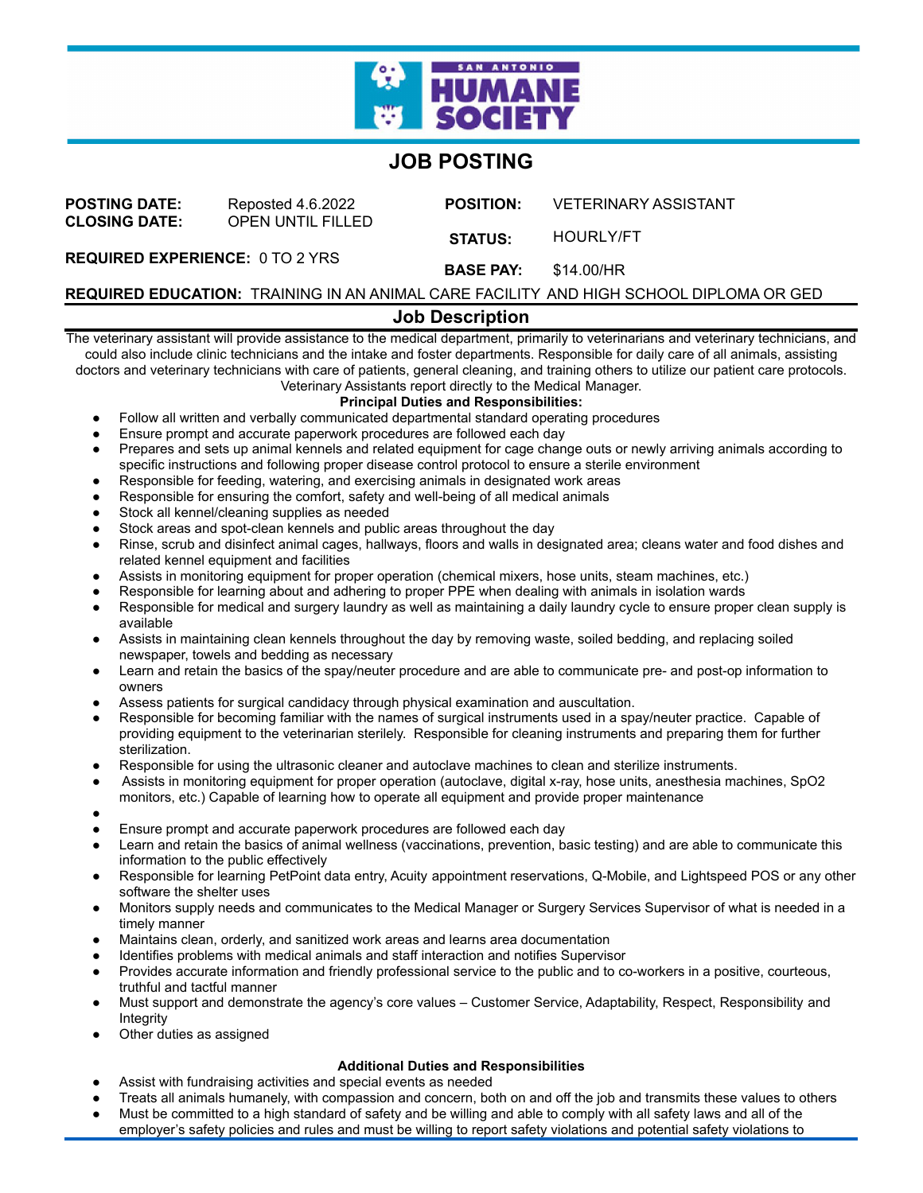

# **JOB POSTING**

| <b>POSTING DATE:</b><br><b>CLOSING DATE:</b> | Reposted 4.6.2022<br><b>OPEN UNTIL FILLED</b> | <b>POSITION:</b> | <b>VETERINARY ASSISTANT</b> |
|----------------------------------------------|-----------------------------------------------|------------------|-----------------------------|
|                                              |                                               | <b>STATUS:</b>   | HOURLY/FT                   |
| <b>REQUIRED EXPERIENCE: 0 TO 2 YRS</b>       |                                               | <b>BASE PAY:</b> | \$14.00/HR                  |

**REQUIRED EDUCATION:** TRAINING IN AN ANIMAL CARE FACILITY AND HIGH SCHOOL DIPLOMA OR GED

### **Job Description**

The veterinary assistant will provide assistance to the medical department, primarily to veterinarians and veterinary technicians, and could also include clinic technicians and the intake and foster departments. Responsible for daily care of all animals, assisting doctors and veterinary technicians with care of patients, general cleaning, and training others to utilize our patient care protocols. Veterinary Assistants report directly to the Medical Manager.

## **Principal Duties and Responsibilities:**

- Follow all written and verbally communicated departmental standard operating procedures
- Ensure prompt and accurate paperwork procedures are followed each day
- Prepares and sets up animal kennels and related equipment for cage change outs or newly arriving animals according to specific instructions and following proper disease control protocol to ensure a sterile environment
- Responsible for feeding, watering, and exercising animals in designated work areas
- Responsible for ensuring the comfort, safety and well-being of all medical animals
- Stock all kennel/cleaning supplies as needed
- Stock areas and spot-clean kennels and public areas throughout the day
- Rinse, scrub and disinfect animal cages, hallways, floors and walls in designated area; cleans water and food dishes and related kennel equipment and facilities
- Assists in monitoring equipment for proper operation (chemical mixers, hose units, steam machines, etc.)
- Responsible for learning about and adhering to proper PPE when dealing with animals in isolation wards
- Responsible for medical and surgery laundry as well as maintaining a daily laundry cycle to ensure proper clean supply is available
- Assists in maintaining clean kennels throughout the day by removing waste, soiled bedding, and replacing soiled newspaper, towels and bedding as necessary
- Learn and retain the basics of the spay/neuter procedure and are able to communicate pre- and post-op information to owners
- Assess patients for surgical candidacy through physical examination and auscultation.
- Responsible for becoming familiar with the names of surgical instruments used in a spay/neuter practice. Capable of providing equipment to the veterinarian sterilely. Responsible for cleaning instruments and preparing them for further sterilization.
- Responsible for using the ultrasonic cleaner and autoclave machines to clean and sterilize instruments.
- Assists in monitoring equipment for proper operation (autoclave, digital x-ray, hose units, anesthesia machines, SpO2
- monitors, etc.) Capable of learning how to operate all equipment and provide proper maintenance
- ●
- Ensure prompt and accurate paperwork procedures are followed each day
- Learn and retain the basics of animal wellness (vaccinations, prevention, basic testing) and are able to communicate this information to the public effectively
- Responsible for learning PetPoint data entry, Acuity appointment reservations, Q-Mobile, and Lightspeed POS or any other software the shelter uses
- Monitors supply needs and communicates to the Medical Manager or Surgery Services Supervisor of what is needed in a timely manner
- Maintains clean, orderly, and sanitized work areas and learns area documentation
- Identifies problems with medical animals and staff interaction and notifies Supervisor
- Provides accurate information and friendly professional service to the public and to co-workers in a positive, courteous, truthful and tactful manner
- Must support and demonstrate the agency's core values Customer Service, Adaptability, Respect, Responsibility and Integrity
- Other duties as assigned

#### **Additional Duties and Responsibilities**

- Assist with fundraising activities and special events as needed
- Treats all animals humanely, with compassion and concern, both on and off the job and transmits these values to others
- Must be committed to a high standard of safety and be willing and able to comply with all safety laws and all of the employer's safety policies and rules and must be willing to report safety violations and potential safety violations to